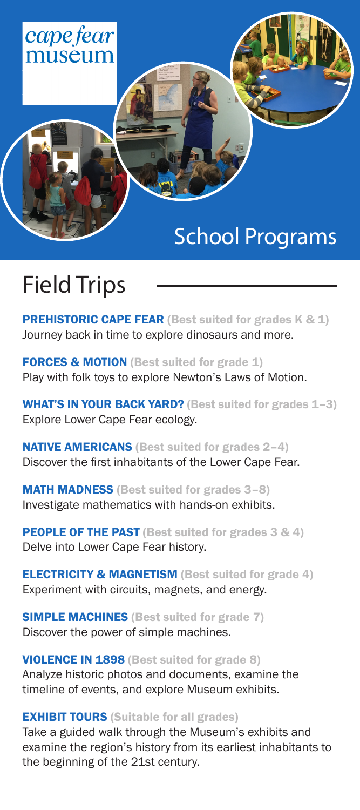

## School Programs

## Field Trips

**PREHISTORIC CAPE FEAR** (Best suited for grades K & 1) Journey back in time to explore dinosaurs and more.

FORCES & MOTION (Best suited for grade 1) Play with folk toys to explore Newton's Laws of Motion.

WHAT'S IN YOUR BACK YARD? (Best suited for grades 1-3) Explore Lower Cape Fear ecology.

**NATIVE AMERICANS** (Best suited for grades 2-4) Discover the first inhabitants of the Lower Cape Fear.

MATH MADNESS (Best suited for grades 3–8) Investigate mathematics with hands-on exhibits.

**PEOPLE OF THE PAST** (Best suited for grades 3 & 4) Delve into Lower Cape Fear history.

**ELECTRICITY & MAGNETISM** (Best suited for grade 4) Experiment with circuits, magnets, and energy.

**SIMPLE MACHINES** (Best suited for grade 7) Discover the power of simple machines.

VIOLENCE IN 1898 (Best suited for grade 8)

Analyze historic photos and documents, examine the timeline of events, and explore Museum exhibits.

#### **EXHIBIT TOURS** (Suitable for all grades)

Take a guided walk through the Museum's exhibits and examine the region's history from its earliest inhabitants to the beginning of the 21st century.